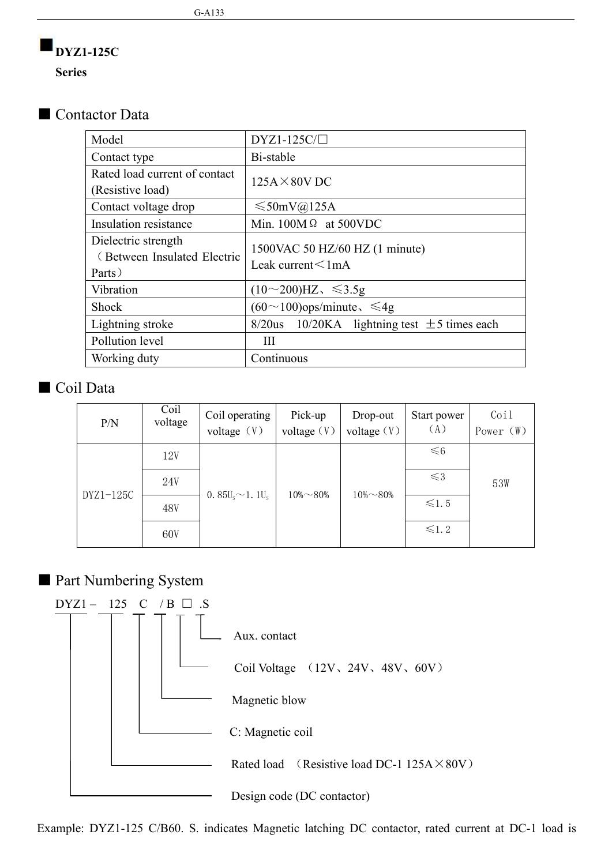# **DYZ1-125C**

**Series**

#### ■ Contactor Data

| Model                                                        | $DYZ1-125C/\Box$                                           |
|--------------------------------------------------------------|------------------------------------------------------------|
| Contact type                                                 | Bi-stable                                                  |
| Rated load current of contact<br>(Resistive load)            | $125A \times 80V$ DC                                       |
| Contact voltage drop                                         | $\leq 50$ mV@125A                                          |
| Insulation resistance                                        | Min. $100M\Omega$ at 500VDC                                |
| Dielectric strength<br>(Between Insulated Electric<br>Parts) | 1500VAC 50 HZ/60 HZ (1 minute)<br>Leak current $\leq 1$ mA |
| Vibration                                                    | $(10~200)$ HZ, $\leq 3.5$ g                                |
| Shock                                                        | $(60 \sim 100)$ ops/minute, $\leq 4g$                      |
| Lightning stroke                                             | $8/20$ us 10/20KA lightning test $\pm$ 5 times each        |
| Pollution level                                              | Ш                                                          |
| Working duty                                                 | Continuous                                                 |

#### ■ Coil Data

| P/N       | Coil<br>voltage | Coil operating<br>voltage $(V)$ | Pick-up<br>voltage $(V)$ | Drop-out<br>voltage $(V)$ | Start power<br>(A) | Coil<br>Power (W) |
|-----------|-----------------|---------------------------------|--------------------------|---------------------------|--------------------|-------------------|
|           | 12V             |                                 |                          |                           | $\leq 6$           |                   |
|           | 24V             | 0. $85U_s \sim 1.1U_s$          | $10\% \sim 80\%$         | $10\% \sim 80\%$          | $\leq 3$           | 53W               |
| DYZ1-125C | 48V             |                                 |                          |                           | $\leq 1.5$         |                   |
|           | 60V             |                                 |                          |                           | $\leq 1.2$         |                   |

### ■ Part Numbering System



Example: DYZ1-125 C/B60. S. indicates Magnetic latching DC contactor, rated current at DC-1 load is